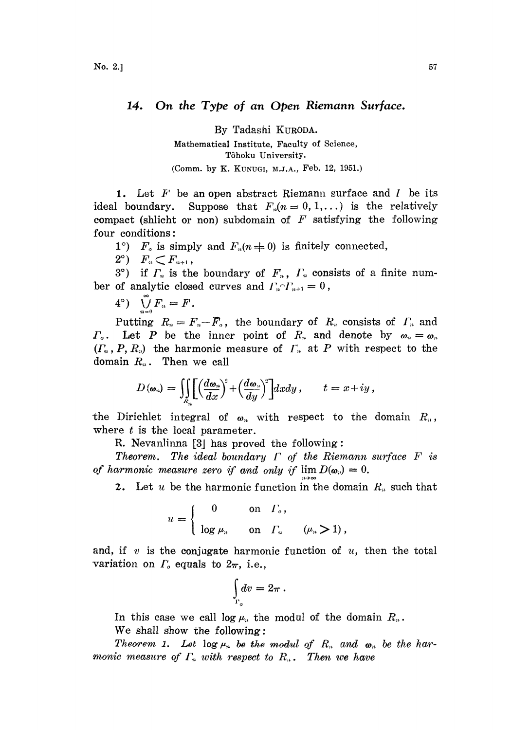## 14. On the Type of an Open Riemann Surface.

By Tadashi KURODA.

Mathematical Institute, Faculty of Science, Tôhoku University. (Comm. by K. KUNUGI, M.J.A., Feb. 12, 1951.)

ideal boundary. 1. Let  $F'$  be an open abstract Riemann surface and  $I'$  be its Suppose that  $F_n(n=0, 1,...)$  is the relatively compact (shlicht or non) subdomain of  $F$  satisfying the following four conditions:

1°)  $F_o$  is simply and  $F_o(n\neq 0)$  is finitely connected,

 $2^{\circ})$   $F_{n} \subset F_{n+1}$ ,

 $3^{\circ}$ ) if  $\Gamma_n$  is the boundary of  $F_n$ ,  $\Gamma_n$  consists of a finite number of analytic closed curves and  $\Gamma_n \cap \Gamma_{n+1} = 0$ ,

 $4^{\circ})$   $\bigvee_{\sim}^{\infty} F_n = F$ .

Putting  $R_n = F_n - \bar{F}_o$ , the boundary of  $R_n$  consists of  $\Gamma_n$  and  $\Gamma_o$ . Let P be the inner point of  $R_n$  and denote by  $\omega_n = \omega_n$  $(\Gamma_n, P, R_n)$  the harmonic measure of  $\Gamma_n$  at P with respect to the domain  $R_n$ . Then we call

$$
D(\boldsymbol{\omega}_n) = \iiint\limits_{K_n} \left[ \left( \frac{d\boldsymbol{\omega}_n}{dx} \right)^2 + \left( \frac{d\boldsymbol{\omega}_n}{dy} \right)^2 \right] dx dy , \qquad t = x + iy ,
$$

the Dirichlet integral of  $\omega_n$  with respect to the domain  $R_n$ , where  $t$  is the local parameter.

R. Nevanlinna  $[3]$  has proved the following:

Theorem. The ideal boundary  $\Gamma$  of the Riemann surface  $F$  is of harmonic measure zero if and only if  $\lim D(\omega_n)=0$ .

2. Let u be the harmonic function in the domain  $R_n$  such that

$$
u = \begin{cases} 0 & \text{on } \Gamma_o, \\ \log \mu_n & \text{on } \Gamma_n \end{cases} \quad (\mu_n > 1),
$$

and, if v is the conjugate harmonic function of  $u$ , then the total variation on  $\Gamma_o$  equals to  $2\pi$ , i.e.,

$$
\int_{\Gamma_o} dv = 2\pi.
$$

In this case we call  $\log \mu_n$  the modul of the domain  $R_n$ . We shall show the following:

Theorem 1. Let log  $\mu_n$  be the modul of  $R_n$  and  $\omega_n$  be the harmonic measure of  $\Gamma_n$  with respect to  $R_n$ . Then we have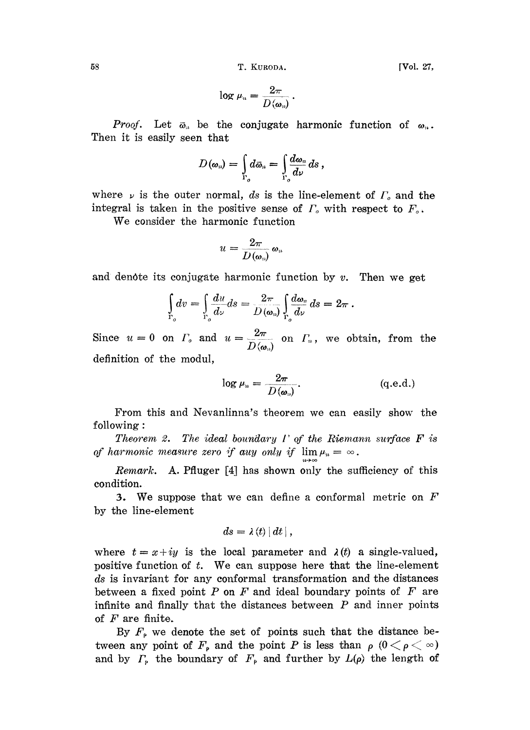58 T. KURODA. [Vol. 27,

$$
\log \mu_n = \frac{2\pi}{D(\omega_n)}.
$$

*Proof.* Let  $\bar{\omega}_n$  be the conjugate harmonic function of  $\omega_n$ . Then it is easily seen that

$$
D(\omega_n)=\int\limits_{\Gamma_o}d\bar\omega_n=\int\limits_{\Gamma_o}\frac{d\omega_n}{d\nu}\,ds\,,
$$

where  $\nu$  is the outer normal, ds is the line-element of  $\Gamma_o$  and the integral is taken in the positive sense of  $\Gamma_o$  with respect to  $F_o$ .

We consider the harmonic function

$$
u=\frac{2\pi}{D(\pmb\omega_n)}\,\pmb\omega_n
$$

and denote its conjugate harmonic function by  $v$ . Then we get

$$
\int_{\Gamma_o} dv = \int_{\Gamma_o} \frac{du}{d\nu} ds = \frac{2\pi}{D(\omega_n)} \int_{\Gamma_o} \frac{d\omega_n}{d\nu} ds = 2\pi.
$$

Since  $u = 0$  on  $\Gamma_o$  and  $u = \frac{2\pi}{D}$  on  $\Gamma_a$ , we obtain, from the definition of the modul,

$$
\log \mu_n = \frac{2\pi}{D(\omega_n)}.
$$
 (q.e.d.)

From this and Nevanlinna's theorem we can easily show the following:

Theorem 2. The ideal boundary  $\Gamma$  of the Riemann surface  $\bf{F}$  is of harmonic measure zero if any only if  $\lim \mu_n = \infty$ .

Remark. A. Pfluger  $[4]$  has shown only the sufficiency of this condition.

3. We suppose that we can define a conformal metric on  $F$ by the line-element

$$
ds=\lambda\left( t\right) \left| \,dt\,\right| ,
$$

where  $t = x+iy$  is the local parameter and  $\lambda(t)$  a single-valued, positive function of  $t$ . We can suppose here that the line-element ds is invariant for any conformal transformation and the distances between a fixed point  $P$  on  $F$  and ideal boundary points of  $F$  are infinite and finally that the distances between  $P$  and inner points of  $F$  are finite.

By  $F_{\rho}$  we denote the set of points such that the distance between any point of  $F_{\rho}$  and the point P is less than  $\rho$  ( $0 < \rho < \infty$ ) and by  $\Gamma$ , the boundary of  $F$ , and further by  $L(\rho)$  the length of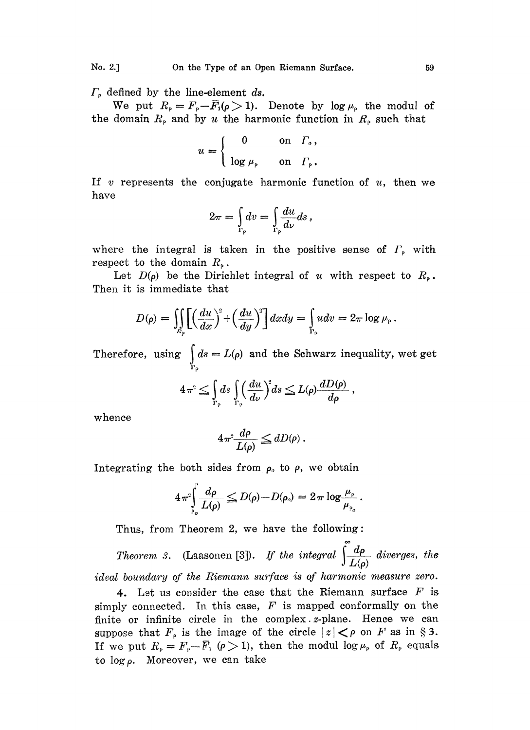$\Gamma_{\rm P}$  defined by the line-element ds.

We put  $R_{\rho}=F_{\rho}-\overline{F}_1(\rho> 1)$ . Denote by log  $\mu_{\rho}$  the modul of the domain  $R_{\rm p}$  and by u the harmonic function in  $R_{\rm p}$  such that

$$
u = \begin{cases} 0 & \text{on } \Gamma_o, \\ \log \mu_{\rho} & \text{on } \Gamma_{\rho}. \end{cases}
$$

If v represents the conjugate harmonic function of  $u$ , then we have

$$
2\pi = \int_{\Gamma_p} dv = \int_{\Gamma_p} \frac{du}{d\nu} ds,
$$

where the integral is taken in the positive sense of  $\Gamma_{\rm p}$  with respect to the domain  $R_{\rho}$ .

Let  $D(\rho)$  be the Dirichlet integral of u with respect to  $R_{\rho}$ . Then it is immediate that

$$
D(\rho) = \iiint\limits_{R_{\rho}} \left[ \left( \frac{du}{dx} \right)^2 + \left( \frac{du}{dy} \right)^2 \right] dx dy = \int\limits_{\Gamma_{\rho}} u dv = 2\pi \log \mu_{\rho}.
$$

Therefore, using  $\int_{\Gamma_0} ds = L(\rho)$  and the Schwarz inequality, wet get

$$
4\pi^2 \leq \int_{\Gamma_{\rho}} ds \int_{\Gamma_{\rho}} \left(\frac{du}{d\nu}\right)^2 ds \leq L(\rho) \frac{dD(\rho)}{d\rho},
$$

whence

$$
4\pi^2 \frac{d\rho}{L(\rho)} \le dD(\rho) \, .
$$

Integrating the both sides from  $\rho_o$  to  $\rho$ , we obtain

$$
4\pi^2\!\!\int\limits_{\rho_o}^{\rho}\!\frac{d\rho}{L(\rho)} \leqq D(\rho)-D(\rho_o) = 2\pi\log\frac{\mu_\rho}{\mu_{\rho_o}}.
$$

Thus, from Theorem 2, we have the following:

Theorem 3. (Laasonen [3]). If the integral  $\int \frac{d\rho}{L(\rho)}$  diverges, the

ideal boundary of the Riemann surface is of harmonic measure zero.

4. Let us consider the case that the Riemann surface  $F$  is simply connected. In this case,  $F$  is mapped conformally on the finite or infinite circle in the complex *z*-plane. Hence we can suppose that  $F_{\rho}$  is the image of the circle  $|z| < \rho$  on F as in § 3. If we put  $R_p = F_p - \overline{F}_1$  ( $\rho > 1$ ), then the modul log  $\mu_p$  of  $R_p$  equals to  $\log \rho$ . Moreover, we can take